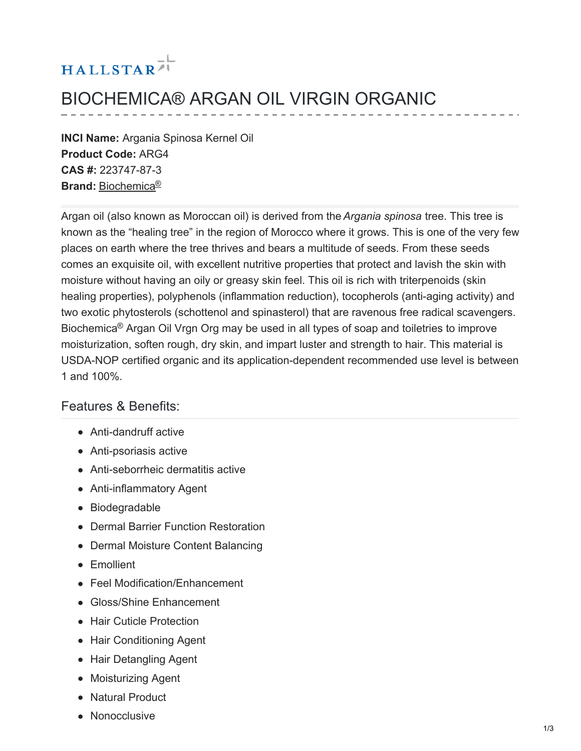# HALLSTAR<sup>71</sup>

## BIOCHEMICA® ARGAN OIL VIRGIN ORGANIC

**INCI Name:** Argania Spinosa Kernel Oil **Product Code:** ARG4 **CAS #:** 223747-87-3 **Brand:** [Biochemica](https://www.hallstar.com/brand/biochemica/) ®

Argan oil (also known as Moroccan oil) is derived from the*Argania spinosa* tree. This tree is known as the "healing tree" in the region of Morocco where it grows. This is one of the very few places on earth where the tree thrives and bears a multitude of seeds. From these seeds comes an exquisite oil, with excellent nutritive properties that protect and lavish the skin with moisture without having an oily or greasy skin feel. This oil is rich with triterpenoids (skin healing properties), polyphenols (inflammation reduction), tocopherols (anti-aging activity) and two exotic phytosterols (schottenol and spinasterol) that are ravenous free radical scavengers. Biochemica<sup>®</sup> Argan Oil Vrgn Org may be used in all types of soap and toiletries to improve moisturization, soften rough, dry skin, and impart luster and strength to hair. This material is USDA-NOP certified organic and its application-dependent recommended use level is between 1 and 100%.

#### Features & Benefits:

- Anti-dandruff active
- Anti-psoriasis active
- Anti-seborrheic dermatitis active
- Anti-inflammatory Agent
- Biodegradable
- Dermal Barrier Function Restoration
- Dermal Moisture Content Balancing
- **•** Emollient
- Feel Modification/Enhancement
- Gloss/Shine Enhancement
- Hair Cuticle Protection
- Hair Conditioning Agent
- Hair Detangling Agent
- Moisturizing Agent
- Natural Product
- Nonocclusive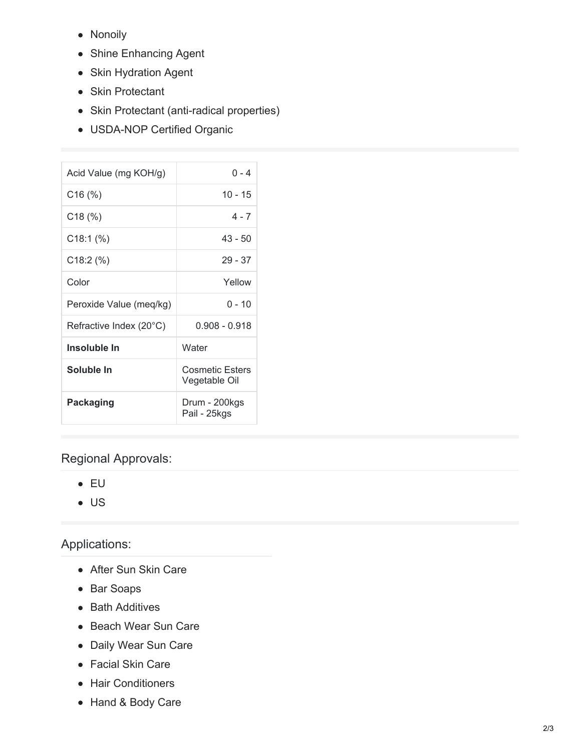- Nonoily
- Shine Enhancing Agent
- Skin Hydration Agent
- Skin Protectant
- Skin Protectant (anti-radical properties)
- USDA-NOP Certified Organic

| Acid Value (mg KOH/g)   | $0 - 4$                                 |
|-------------------------|-----------------------------------------|
| $C16$ (%)               | 10 - 15                                 |
| C18(%)                  | $4 - 7$                                 |
| $C18:1$ (%)             | $43 - 50$                               |
| $C18:2$ (%)             | $29 - 37$                               |
| Color                   | Yellow                                  |
| Peroxide Value (meq/kg) | $0 - 10$                                |
| Refractive Index (20°C) | $0.908 - 0.918$                         |
| Insoluble In            | Water                                   |
| Soluble In              | <b>Cosmetic Esters</b><br>Vegetable Oil |
| <b>Packaging</b>        | Drum - 200kgs<br>Pail - 25kgs           |

### Regional Approvals:

- EU
- US

## Applications:

- After Sun Skin Care
- Bar Soaps
- Bath Additives
- Beach Wear Sun Care
- Daily Wear Sun Care
- Facial Skin Care
- Hair Conditioners
- Hand & Body Care